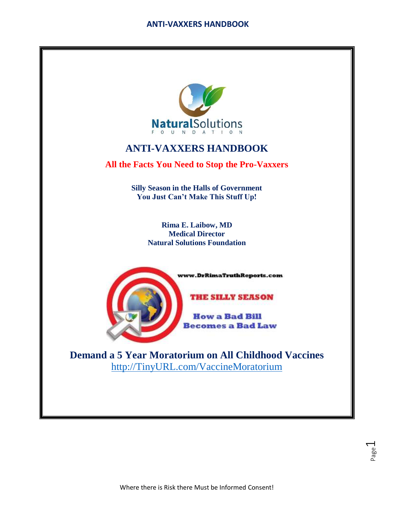

**All the Facts You Need to Stop the Pro-Vaxxers**

**Silly Season in the Halls of Government You Just Can't Make This Stuff Up!**

> **Rima E. Laibow, MD Medical Director Natural Solutions Foundation**



**Demand a 5 Year Moratorium on All Childhood Vaccines** [http://TinyURL.com/VaccineMoratorium](http://tinyurl.com/VaccineMoratorium)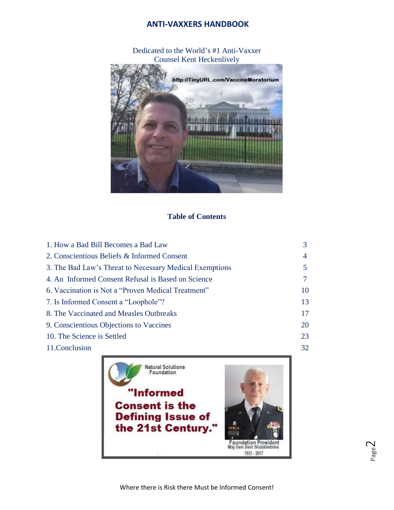Dedicated to the World's #1 Anti-Vaxxer Counsel Kent Heckenlively



#### **Table of Contents**

| 1. How a Bad Bill Becomes a Bad Law                     | 3              |
|---------------------------------------------------------|----------------|
| 2. Conscientious Beliefs & Informed Consent             | $\overline{4}$ |
| 3. The Bad Law's Threat to Necessary Medical Exemptions | $5^{\circ}$    |
| 4. An Informed Consent Refusal is Based on Science      | $\tau$         |
| 6. Vaccination is Not a "Proven Medical Treatment"      | 10             |
| 7. Is Informed Consent a "Loophole"?                    | 13             |
| 8. The Vaccinated and Measles Outbreaks                 | 17             |
| 9. Conscientious Objections to Vaccines                 | 20             |
| 10. The Science is Settled                              | 23             |
| 11.Conclusion                                           | 32             |



Page  $\mathrel{\sim}$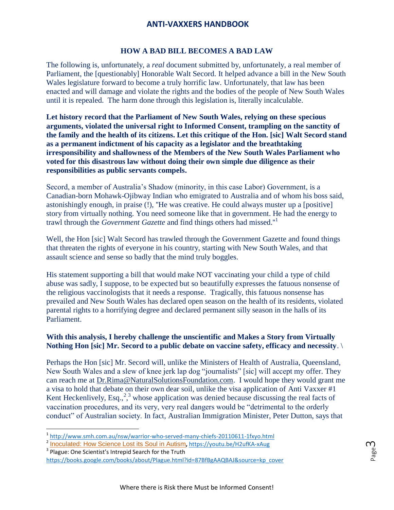#### **HOW A BAD BILL BECOMES A BAD LAW**

The following is, unfortunately, a *real* document submitted by, unfortunately, a real member of Parliament, the [questionably] Honorable Walt Secord. It helped advance a bill in the New South Wales legislature forward to become a truly horrific law. Unfortunately, that law has been enacted and will damage and violate the rights and the bodies of the people of New South Wales until it is repealed. The harm done through this legislation is, literally incalculable.

**Let history record that the Parliament of New South Wales, relying on these specious arguments, violated the universal right to Informed Consent, trampling on the sanctity of the family and the health of its citizens. Let this critique of the Hon. [sic] Walt Secord stand as a permanent indictment of his capacity as a legislator and the breathtaking irresponsibility and shallowness of the Members of the New South Wales Parliament who voted for this disastrous law without doing their own simple due diligence as their responsibilities as public servants compels.**

Secord, a member of Australia's Shadow (minority, in this case Labor) Government, is a Canadian-born Mohawk-Ojibway Indian who emigrated to Australia and of whom his boss said, astonishingly enough, in praise (!), ''He was creative. He could always muster up a [positive] story from virtually nothing. You need someone like that in government. He had the energy to trawl through the *Government Gazette* and find things others had missed.''<sup>1</sup>

Well, the Hon [sic] Walt Secord has trawled through the Government Gazette and found things that threaten the rights of everyone in his country, starting with New South Wales, and that assault science and sense so badly that the mind truly boggles.

His statement supporting a bill that would make NOT vaccinating your child a type of child abuse was sadly, I suppose, to be expected but so beautifully expresses the fatuous nonsense of the religious vaccinologists that it needs a response. Tragically, this fatuous nonsense has prevailed and New South Wales has declared open season on the health of its residents, violated parental rights to a horrifying degree and declared permanent silly season in the halls of its Parliament.

#### **With this analysis, I hereby challenge the unscientific and Makes a Story from Virtually Nothing Hon [sic] Mr. Secord to a public debate on vaccine safety, efficacy and necessity**. \

Perhaps the Hon [sic] Mr. Secord will, unlike the Ministers of Health of Australia, Queensland, New South Wales and a slew of knee jerk lap dog "journalists" [sic] will accept my offer. They can reach me at [Dr.Rima@NaturalSolutionsFoundation.com.](mailto:Dr.Rima@NaturalSolutionsFoundation.com) I would hope they would grant me a visa to hold that debate on their own dear soil, unlike the visa application of Anti Vaxxer #1 Kent Heckenlively, Esq.,  $^{2}$ , whose application was denied because discussing the real facts of vaccination procedures, and its very, very real dangers would be "detrimental to the orderly conduct" of Australian society. In fact, Australian Immigration Minister, Peter Dutton, says that

<sup>1</sup> <http://www.smh.com.au/nsw/warrior-who-served-many-chiefs-20110611-1fxyo.html>

<sup>2</sup> Inoculated: How Science Lost its Soul in Autism**,** <https://youtu.be/H2ufKA-xAug>

<sup>&</sup>lt;sup>3</sup> Plague: One Scientist's Intrepid Search for the Truth [https://books.google.com/books/about/Plague.html?id=87BfBgAAQBAJ&source=kp\\_cover](https://books.google.com/books/about/Plague.html?id=87BfBgAAQBAJ&source=kp_cover)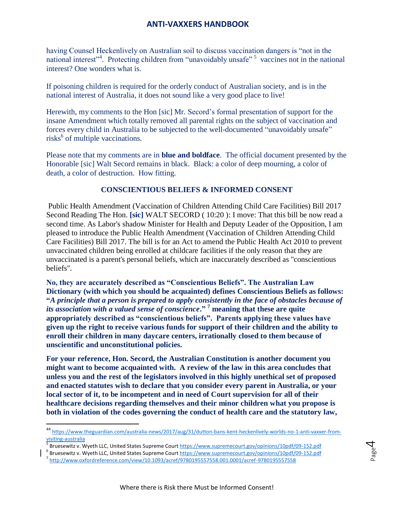having Counsel Heckenlively on Australian soil to discuss vaccination dangers is "not in the national interest<sup>34</sup>. Protecting children from "unavoidably unsafe"<sup>5</sup> vaccines not in the national interest? One wonders what is.

If poisoning children is required for the orderly conduct of Australian society, and is in the national interest of Australia, it does not sound like a very good place to live!

Herewith, my comments to the Hon [sic] Mr. Secord's formal presentation of support for the insane Amendment which totally removed all parental rights on the subject of vaccination and forces every child in Australia to be subjected to the well-documented "unavoidably unsafe" risks<sup>6</sup> of multiple vaccinations.

Please note that my comments are in **blue and boldface**. The official document presented by the Honorable [sic] Walt Secord remains in black. Black: a color of deep mourning, a color of death, a color of destruction. How fitting.

#### **CONSCIENTIOUS BELIEFS & INFORMED CONSENT**

Public Health Amendment (Vaccination of Children Attending Child Care Facilities) Bill 2017 Second Reading The Hon. **[sic]** WALT SECORD ( 10:20 ): I move: That this bill be now read a second time. As Labor's shadow Minister for Health and Deputy Leader of the Opposition, I am pleased to introduce the Public Health Amendment (Vaccination of Children Attending Child Care Facilities) Bill 2017. The bill is for an Act to amend the Public Health Act 2010 to prevent unvaccinated children being enrolled at childcare facilities if the only reason that they are unvaccinated is a parent's personal beliefs, which are inaccurately described as "conscientious beliefs".

**No, they are accurately described as "Conscientious Beliefs". The Australian Law Dictionary (with which you should be acquainted) defines Conscientious Beliefs as follows: "***A principle that a person is prepared to apply consistently in the face of obstacles because of its association with a valued sense of conscience***." <sup>7</sup> meaning that these are quite appropriately described as "conscientious beliefs". Parents applying these values have given up the right to receive various funds for support of their children and the ability to enroll their children in many daycare centers, irrationally closed to them because of unscientific and unconstitutional policies.** 

**For your reference, Hon. Secord, the Australian Constitution is another document you might want to become acquainted with. A review of the law in this area concludes that unless you and the rest of the legislators involved in this highly unethical set of proposed and enacted statutes wish to declare that you consider every parent in Australia, or your local sector of it, to be incompetent and in need of Court supervision for all of their healthcare decisions regarding themselves and their minor children what you propose is both in violation of the codes governing the conduct of health care and the statutory law,** 

 44 [https://www.theguardian.com/australia-news/2017/aug/31/dutton-bans-kent-heckenlively-worlds-no-1-anti-vaxxer-from](https://www.theguardian.com/australia-news/2017/aug/31/dutton-bans-kent-heckenlively-worlds-no-1-anti-vaxxer-from-visiting-australia)[visiting-australia](https://www.theguardian.com/australia-news/2017/aug/31/dutton-bans-kent-heckenlively-worlds-no-1-anti-vaxxer-from-visiting-australia)<br>5 Druggovitz v. M

Bruesewitz v. Wyeth LLC, United States Supreme Cour[t https://www.supremecourt.gov/opinions/10pdf/09-152.pdf](https://www.supremecourt.gov/opinions/10pdf/09-152.pdf)

<sup>&</sup>lt;sup>6</sup> Bruesewitz v. Wyeth LLC, United States Supreme Cour[t https://www.supremecourt.gov/opinions/10pdf/09-152.pdf](https://www.supremecourt.gov/opinions/10pdf/09-152.pdf)

<sup>7</sup> <http://www.oxfordreference.com/view/10.1093/acref/9780195557558.001.0001/acref-9780195557558>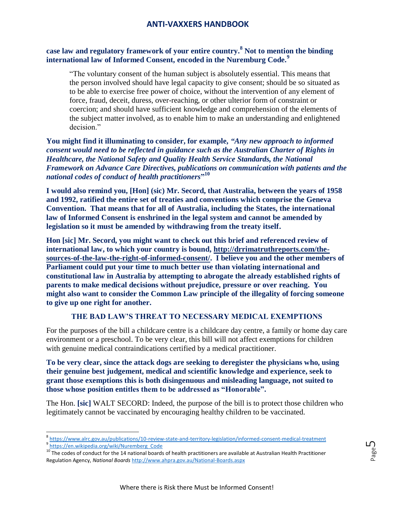# **case law and regulatory framework of your entire country.<sup>8</sup> Not to mention the binding international law of Informed Consent, encoded in the Nuremburg Code.<sup>9</sup>**

"The voluntary consent of the human subject is absolutely essential. This means that the person involved should have legal capacity to give consent; should be so situated as to be able to exercise free power of choice, without the intervention of any element of force, fraud, deceit, duress, over-reaching, or other ulterior form of constraint or coercion; and should have sufficient knowledge and comprehension of the elements of the subject matter involved, as to enable him to make an understanding and enlightened decision."

**You might find it illuminating to consider, for example,** *"Any new approach to informed consent would need to be reflected in guidance such as the Australian Charter of Rights in Healthcare, the National Safety and Quality Health Service Standards, the National Framework on Advance Care Directives, publications on communication with patients and the national codes of conduct of health practitioners***" 10**

**I would also remind you, [Hon] (sic) Mr. Secord, that Australia, between the years of 1958 and 1992, ratified the entire set of treaties and conventions which comprise the Geneva Convention. That means that for all of Australia, including the States, the international law of Informed Consent is enshrined in the legal system and cannot be amended by legislation so it must be amended by withdrawing from the treaty itself.** 

**Hon [sic] Mr. Secord, you might want to check out this brief and referenced review of international law, to which your country is bound, [http://drrimatruthreports.com/the](http://drrimatruthreports.com/the-sources-of-the-law-the-right-of-informed-consent/)[sources-of-the-law-the-right-of-informed-consent/.](http://drrimatruthreports.com/the-sources-of-the-law-the-right-of-informed-consent/) I believe you and the other members of Parliament could put your time to much better use than violating international and constitutional law in Australia by attempting to abrogate the already established rights of parents to make medical decisions without prejudice, pressure or over reaching. You might also want to consider the Common Law principle of the illegality of forcing someone to give up one right for another.**

#### **THE BAD LAW'S THREAT TO NECESSARY MEDICAL EXEMPTIONS**

For the purposes of the bill a childcare centre is a childcare day centre, a family or home day care environment or a preschool. To be very clear, this bill will not affect exemptions for children with genuine medical contraindications certified by a medical practitioner.

**To be very clear, since the attack dogs are seeking to deregister the physicians who, using their genuine best judgement, medical and scientific knowledge and experience, seek to grant those exemptions this is both disingenuous and misleading language, not suited to those whose position entitles them to be addressed as "Honorable".**

The Hon. **[sic]** WALT SECORD: Indeed, the purpose of the bill is to protect those children who legitimately cannot be vaccinated by encouraging healthy children to be vaccinated.

<sup>&</sup>lt;sup>8</sup><https://www.alrc.gov.au/publications/10-review-state-and-territory-legislation/informed-consent-medical-treatment> <sup>9</sup> [https://en.wikipedia.org/wiki/Nuremberg\\_Code](https://en.wikipedia.org/wiki/Nuremberg_Code)

<sup>&</sup>lt;sup>10</sup> The codes of conduct for the 14 national boards of health practitioners are available at Australian Health Practitioner Regulation Agency, *National Boards* <http://www.ahpra.gov.au/National-Boards.aspx>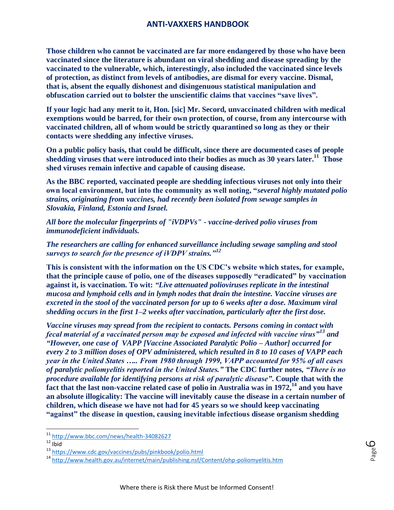**Those children who cannot be vaccinated are far more endangered by those who have been vaccinated since the literature is abundant on viral shedding and disease spreading by the vaccinated to the vulnerable, which, interestingly, also included the vaccinated since levels of protection, as distinct from levels of antibodies, are dismal for every vaccine. Dismal, that is, absent the equally dishonest and disingenuous statistical manipulation and obfuscation carried out to bolster the unscientific claims that vaccines "save lives".** 

**If your logic had any merit to it, Hon. [sic] Mr. Secord, unvaccinated children with medical exemptions would be barred, for their own protection, of course, from any intercourse with vaccinated children, all of whom would be strictly quarantined so long as they or their contacts were shedding any infective viruses.** 

**On a public policy basis, that could be difficult, since there are documented cases of people shedding viruses that were introduced into their bodies as much as 30 years later.<sup>11</sup> Those shed viruses remain infective and capable of causing disease.**

**As the BBC reported, vaccinated people are shedding infectious viruses not only into their own local environment, but into the community as well noting, "***several highly mutated polio strains, originating from vaccines, had recently been isolated from sewage samples in Slovakia, Finland, Estonia and Israel.*

*All bore the molecular fingerprints of "iVDPVs" - vaccine-derived polio viruses from immunodeficient individuals.*

*The researchers are calling for enhanced surveillance including sewage sampling and stool surveys to search for the presence of iVDPV strains."<sup>12</sup>*

**This is consistent with the information on the US CDC's website which states, for example, that the principle cause of polio, one of the diseases supposedly "eradicated" by vaccination against it, is vaccination. To wit:** *"Live attenuated polioviruses replicate in the intestinal mucosa and lymphoid cells and in lymph nodes that drain the intestine. Vaccine viruses are excreted in the stool of the vaccinated person for up to 6 weeks after a dose. Maximum viral shedding occurs in the first 1–2 weeks after vaccination, particularly after the first dose.*

*Vaccine viruses may spread from the recipient to contacts. Persons coming in contact with fecal material of a vaccinated person may be exposed and infected with vaccine virus"<sup>13</sup> and "However, one case of VAPP [Vaccine Associated Paralytic Polio – Author] occurred for every 2 to 3 million doses of OPV administered, which resulted in 8 to 10 cases of VAPP each year in the United States ….. From 1980 through 1999, VAPP accounted for 95% of all cases of paralytic poliomyelitis reported in the United States."* **The CDC further notes***, "There is no procedure available for identifying persons at risk of paralytic disease"***. Couple that with the fact that the last non-vaccine related case of polio in Australia was in 1972,<sup>14</sup> and you have an absolute illogicality: The vaccine will inevitably cause the disease in a certain number of children, which disease we have not had for 45 years so we should keep vaccinating "against" the disease in question, causing inevitable infectious disease organism shedding** 

<sup>&</sup>lt;sup>11</sup> <http://www.bbc.com/news/health-34082627>

 $12 \overline{1}$ bid

<sup>13</sup> <https://www.cdc.gov/vaccines/pubs/pinkbook/polio.html>

<sup>&</sup>lt;sup>14</sup> <http://www.health.gov.au/internet/main/publishing.nsf/Content/ohp-poliomyelitis.htm>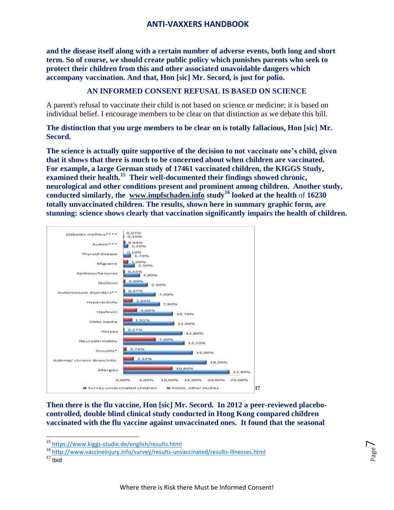**and the disease itself along with a certain number of adverse events, both long and short term. So of course, we should create public policy which punishes parents who seek to protect their children from this and other associated unavoidable dangers which accompany vaccination. And that, Hon [sic] Mr. Secord, is just for polio.**

#### **AN INFORMED CONSENT REFUSAL IS BASED ON SCIENCE**

A parent's refusal to vaccinate their child is not based on science or medicine; it is based on individual belief. I encourage members to be clear on that distinction as we debate this bill.

#### **The distinction that you urge members to be clear on is totally fallacious, Hon [sic] Mr. Secord.**

**The science is actually quite supportive of the decision to not vaccinate one's child, given that it shows that there is much to be concerned about when children are vaccinated. For example, a large German study of 17461 vaccinated children, the KIGGS Study, examined their health.<sup>15</sup> Their well-documented their findings showed chronic, neurological and other conditions present and prominent among children. Another study, conducted similarly, the [www.impfschaden.info](http://www.impfschaden.info/) study<sup>16</sup> looked at the health** of **16230 totally unvaccinated children. The results, shown here in summary graphic form, are stunning: science shows clearly that vaccination significantly impairs the health of children.**



**Then there is the flu vaccine, Hon [sic] Mr. Secord. In 2012 a peer-reviewed placebocontrolled, double blind clinical study conducted in Hong Kong compared children vaccinated with the flu vaccine against unvaccinated ones. It found that the seasonal** 

<sup>16</sup> <http://www.vaccineinjury.info/survey/results-unvaccinated/results-illnesses.html>

<sup>15</sup> <https://www.kiggs-studie.de/english/results.html>

 $17 \overline{1}$  Ibid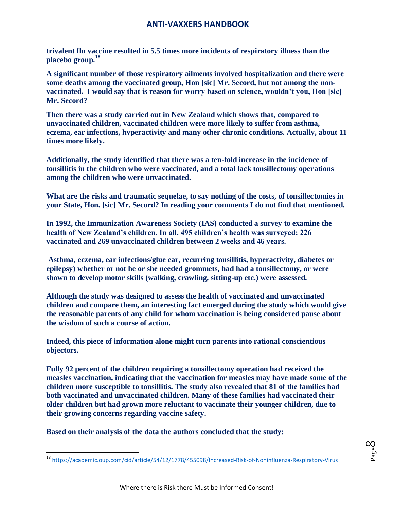**trivalent flu vaccine resulted in 5.5 times more incidents of respiratory illness than the placebo group.<sup>18</sup>**

**A significant number of those respiratory ailments involved hospitalization and there were some deaths among the vaccinated group, Hon [sic] Mr. Secord, but not among the nonvaccinated. I would say that is reason for worry based on science, wouldn't you, Hon [sic] Mr. Secord?**

**Then there was a study carried out in New Zealand which shows that, compared to unvaccinated children, vaccinated children were more likely to suffer from asthma, eczema, ear infections, hyperactivity and many other chronic conditions. Actually, about 11 times more likely.**

**Additionally, the study identified that there was a ten-fold increase in the incidence of tonsillitis in the children who were vaccinated, and a total lack tonsillectomy operations among the children who were unvaccinated.** 

**What are the risks and traumatic sequelae, to say nothing of the costs, of tonsillectomies in your State, Hon. [sic] Mr. Secord? In reading your comments I do not find that mentioned.**

**In 1992, the Immunization Awareness Society (IAS) conducted a survey to examine the health of New Zealand's children. In all, 495 children's health was surveyed: 226 vaccinated and 269 unvaccinated children between 2 weeks and 46 years.**

**Asthma, eczema, ear infections/glue ear, recurring tonsillitis, hyperactivity, diabetes or epilepsy) whether or not he or she needed grommets, had had a tonsillectomy, or were shown to develop motor skills (walking, crawling, sitting-up etc.) were assessed.** 

**Although the study was designed to assess the health of vaccinated and unvaccinated children and compare them, an interesting fact emerged during the study which would give the reasonable parents of any child for whom vaccination is being considered pause about the wisdom of such a course of action.** 

**Indeed, this piece of information alone might turn parents into rational conscientious objectors.** 

**Fully 92 percent of the children requiring a tonsillectomy operation had received the measles vaccination, indicating that the vaccination for measles may have made some of the children more susceptible to tonsillitis. The study also revealed that 81 of the families had both vaccinated and unvaccinated children. Many of these families had vaccinated their older children but had grown more reluctant to vaccinate their younger children, due to their growing concerns regarding vaccine safety.** 

**Based on their analysis of the data the authors concluded that the study:**

<sup>&</sup>lt;sup>18</sup> <https://academic.oup.com/cid/article/54/12/1778/455098/Increased-Risk-of-Noninfluenza-Respiratory-Virus>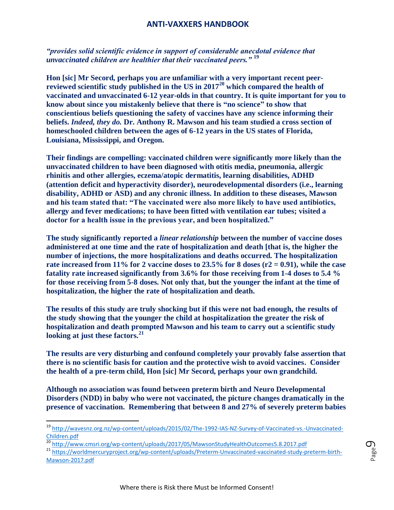*"provides solid scientific evidence in support of considerable anecdotal evidence that unvaccinated children are healthier that their vaccinated peers."* **<sup>19</sup>**

**Hon [sic] Mr Secord, perhaps you are unfamiliar with a very important recent peerreviewed scientific study published in the US in 2017<sup>20</sup> which compared the health of vaccinated and unvaccinated 6-12 year-olds in that country. It is quite important for you to know about since you mistakenly believe that there is "no science" to show that conscientious beliefs questioning the safety of vaccines have any science informing their beliefs.** *Indeed, they do.* **Dr. Anthony R. Mawson and his team studied a cross section of homeschooled children between the ages of 6-12 years in the US states of Florida, Louisiana, Mississippi, and Oregon.**

**Their findings are compelling: vaccinated children were significantly more likely than the unvaccinated children to have been diagnosed with otitis media, pneumonia, allergic rhinitis and other allergies, eczema/atopic dermatitis, learning disabilities, ADHD (attention deficit and hyperactivity disorder), neurodevelopmental disorders (i.e., learning disability, ADHD or ASD) and any chronic illness. In addition to these diseases, Mawson and his team stated that: "The vaccinated were also more likely to have used antibiotics, allergy and fever medications; to have been fitted with ventilation ear tubes; visited a doctor for a health issue in the previous year, and been hospitalized."** 

**The study significantly reported a** *linear relationship* **between the number of vaccine doses administered at one time and the rate of hospitalization and death [that is, the higher the number of injections, the more hospitalizations and deaths occurred. The hospitalization rate increased from 11% for 2 vaccine doses to 23.5% for 8 doses (r2 = 0.91), while the case fatality rate increased significantly from 3.6% for those receiving from 1-4 doses to 5.4 % for those receiving from 5-8 doses. Not only that, but the younger the infant at the time of hospitalization, the higher the rate of hospitalization and death.**

**The results of this study are truly shocking but if this were not bad enough, the results of the study showing that the younger the child at hospitalization the greater the risk of hospitalization and death prompted Mawson and his team to carry out a scientific study looking at just these factors.<sup>21</sup>**

**The results are very disturbing and confound completely your provably false assertion that there is no scientific basis for caution and the protective wish to avoid vaccines. Consider the health of a pre-term child, Hon [sic] Mr Secord, perhaps your own grandchild.**

**Although no association was found between preterm birth and Neuro Developmental Disorders (NDD) in baby who were not vaccinated, the picture changes dramatically in the presence of vaccination. Remembering that between 8 and 27% of severely preterm babies** 

l

<sup>21</sup> [https://worldmercuryproject.org/wp-content/uploads/Preterm-Unvaccinated-vaccinated-study-preterm-birth-](https://worldmercuryproject.org/wp-content/uploads/Preterm-Unvaccinated-vaccinated-study-preterm-birth-Mawson-2017.pdf)[Mawson-2017.pdf](https://worldmercuryproject.org/wp-content/uploads/Preterm-Unvaccinated-vaccinated-study-preterm-birth-Mawson-2017.pdf)

<sup>&</sup>lt;sup>19</sup> [http://wavesnz.org.nz/wp-content/uploads/2015/02/The-1992-IAS-NZ-Survey-of-Vaccinated-vs.-Unvaccinated-](http://wavesnz.org.nz/wp-content/uploads/2015/02/The-1992-IAS-NZ-Survey-of-Vaccinated-vs.-Unvaccinated-Children.pdf)[Children.pdf](http://wavesnz.org.nz/wp-content/uploads/2015/02/The-1992-IAS-NZ-Survey-of-Vaccinated-vs.-Unvaccinated-Children.pdf)

<sup>20</sup> <http://www.cmsri.org/wp-content/uploads/2017/05/MawsonStudyHealthOutcomes5.8.2017.pdf>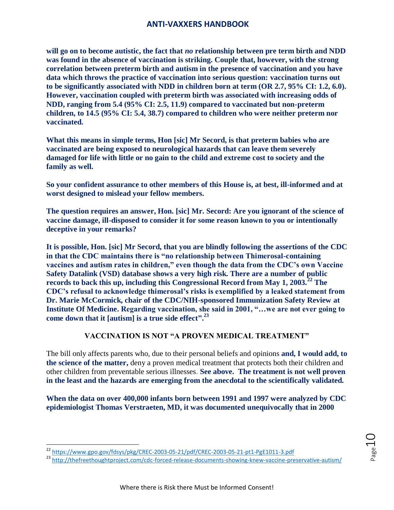**will go on to become autistic, the fact that** *no* **relationship between pre term birth and NDD was found in the absence of vaccination is striking. Couple that, however, with the strong correlation between preterm birth and autism in the presence of vaccination and you have data which throws the practice of vaccination into serious question: vaccination turns out to be significantly associated with NDD in children born at term (OR 2.7, 95% CI: 1.2, 6.0). However, vaccination coupled with preterm birth was associated with increasing odds of NDD, ranging from 5.4 (95% CI: 2.5, 11.9) compared to vaccinated but non-preterm children, to 14.5 (95% CI: 5.4, 38.7) compared to children who were neither preterm nor vaccinated.**

**What this means in simple terms, Hon [sic] Mr Secord, is that preterm babies who are vaccinated are being exposed to neurological hazards that can leave them severely damaged for life with little or no gain to the child and extreme cost to society and the family as well.**

**So your confident assurance to other members of this House is, at best, ill-informed and at worst designed to mislead your fellow members.** 

**The question requires an answer, Hon. [sic] Mr. Secord: Are you ignorant of the science of vaccine damage, ill-disposed to consider it for some reason known to you or intentionally deceptive in your remarks?** 

**It is possible, Hon. [sic] Mr Secord, that you are blindly following the assertions of the CDC in that the CDC maintains there is "no relationship between Thimerosal-containing vaccines and autism rates in children," even though the data from the CDC's own Vaccine Safety Datalink (VSD) database shows a very high risk. There are a number of public records to back this up, including this Congressional Record from May 1, 2003.<sup>22</sup> The CDC's refusal to acknowledge thimerosal's risks is exemplified by a leaked statement from Dr. Marie McCormick, chair of the CDC/NIH-sponsored Immunization Safety Review at Institute Of Medicine. Regarding vaccination, she said in 2001, "…we are not ever going to come down that it [autism] is a true side effect".<sup>23</sup>**

## **VACCINATION IS NOT "A PROVEN MEDICAL TREATMENT"**

The bill only affects parents who, due to their personal beliefs and opinions **and, I would add, to the science of the matter,** deny a proven medical treatment that protects both their children and other children from preventable serious illnesses. **See above. The treatment is not well proven in the least and the hazards are emerging from the anecdotal to the scientifically validated.**

**When the data on over 400,000 infants born between 1991 and 1997 were analyzed by CDC epidemiologist Thomas Verstraeten, MD, it was documented unequivocally that in 2000** 

<sup>22</sup> <https://www.gpo.gov/fdsys/pkg/CREC-2003-05-21/pdf/CREC-2003-05-21-pt1-PgE1011-3.pdf>

<sup>23</sup> <http://thefreethoughtproject.com/cdc-forced-release-documents-showing-knew-vaccine-preservative-autism/>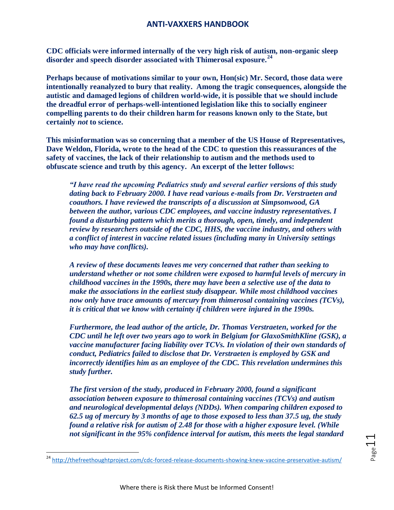**CDC officials were informed internally of the very high risk of autism, non-organic sleep disorder and speech disorder associated with Thimerosal exposure.<sup>24</sup>**

**Perhaps because of motivations similar to your own, Hon(sic) Mr. Secord, those data were intentionally reanalyzed to bury that reality. Among the tragic consequences, alongside the autistic and damaged legions of children world-wide, it is possible that we should include the dreadful error of perhaps-well-intentioned legislation like this to socially engineer compelling parents to do their children harm for reasons known only to the State, but certainly** *not* **to science.**

**This misinformation was so concerning that a member of the US House of Representatives, Dave Weldon, Florida, wrote to the head of the CDC to question this reassurances of the safety of vaccines, the lack of their relationship to autism and the methods used to obfuscate science and truth by this agency. An excerpt of the letter follows:** 

*"I have read the upcoming Pediatrics study and several earlier versions of this study dating back to February 2000. I have read various e-mails from Dr. Verstraeten and coauthors. I have reviewed the transcripts of a discussion at Simpsonwood, GA between the author, various CDC employees, and vaccine industry representatives. I found a disturbing pattern which merits a thorough, open, timely, and independent review by researchers outside of the CDC, HHS, the vaccine industry, and others with a conflict of interest in vaccine related issues (including many in University settings who may have conflicts).*

*A review of these documents leaves me very concerned that rather than seeking to understand whether or not some children were exposed to harmful levels of mercury in childhood vaccines in the 1990s, there may have been a selective use of the data to make the associations in the earliest study disappear. While most childhood vaccines now only have trace amounts of mercury from thimerosal containing vaccines (TCVs), it is critical that we know with certainty if children were injured in the 1990s.*

*Furthermore, the lead author of the article, Dr. Thomas Verstraeten, worked for the CDC until he left over two years ago to work in Belgium for GlaxoSmithKline (GSK), a vaccine manufacturer facing liability over TCVs. In violation of their own standards of conduct, Pediatrics failed to disclose that Dr. Verstraeten is employed by GSK and incorrectly identifies him as an employee of the CDC. This revelation undermines this study further.*

*The first version of the study, produced in February 2000, found a significant association between exposure to thimerosal containing vaccines (TCVs) and autism and neurological developmental delays (NDDs). When comparing children exposed to 62.5 ug of mercury by 3 months of age to those exposed to less than 37.5 ug, the study found a relative risk for autism of 2.48 for those with a higher exposure level. (While not significant in the 95% confidence interval for autism, this meets the legal standard* 

Page11

<sup>&</sup>lt;sup>24</sup> <http://thefreethoughtproject.com/cdc-forced-release-documents-showing-knew-vaccine-preservative-autism/>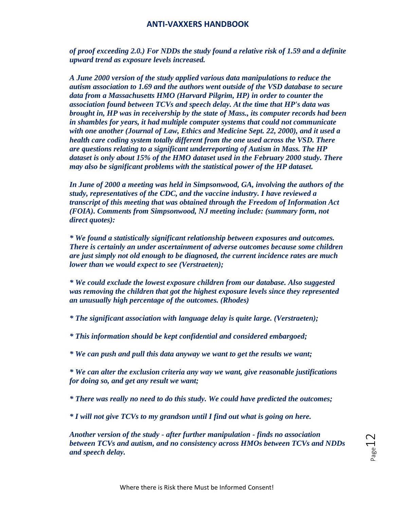*of proof exceeding 2.0.) For NDDs the study found a relative risk of 1.59 and a definite upward trend as exposure levels increased.*

*A June 2000 version of the study applied various data manipulations to reduce the autism association to 1.69 and the authors went outside of the VSD database to secure data from a Massachusetts HMO (Harvard Pilgrim, HP) in order to counter the association found between TCVs and speech delay. At the time that HP's data was brought in, HP was in receivership by the state of Mass., its computer records had been in shambles for years, it had multiple computer systems that could not communicate with one another (Journal of Law, Ethics and Medicine Sept. 22, 2000), and it used a health care coding system totally different from the one used across the VSD. There are questions relating to a significant underreporting of Autism in Mass. The HP dataset is only about 15% of the HMO dataset used in the February 2000 study. There may also be significant problems with the statistical power of the HP dataset.*

*In June of 2000 a meeting was held in Simpsonwood, GA, involving the authors of the study, representatives of the CDC, and the vaccine industry. I have reviewed a transcript of this meeting that was obtained through the Freedom of Information Act (FOIA). Comments from Simpsonwood, NJ meeting include: (summary form, not direct quotes):*

*\* We found a statistically significant relationship between exposures and outcomes. There is certainly an under ascertainment of adverse outcomes because some children are just simply not old enough to be diagnosed, the current incidence rates are much lower than we would expect to see (Verstraeten);*

*\* We could exclude the lowest exposure children from our database. Also suggested was removing the children that got the highest exposure levels since they represented an unusually high percentage of the outcomes. (Rhodes)*

*\* The significant association with language delay is quite large. (Verstraeten);*

*\* This information should be kept confidential and considered embargoed;*

*\* We can push and pull this data anyway we want to get the results we want;*

*\* We can alter the exclusion criteria any way we want, give reasonable justifications for doing so, and get any result we want;*

*\* There was really no need to do this study. We could have predicted the outcomes;*

*\* I will not give TCVs to my grandson until I find out what is going on here.*

*Another version of the study - after further manipulation - finds no association between TCVs and autism, and no consistency across HMOs between TCVs and NDDs and speech delay.*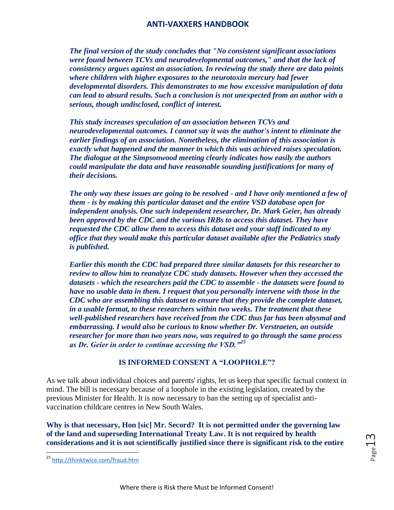*The final version of the study concludes that "No consistent significant associations were found between TCVs and neurodevelopmental outcomes," and that the lack of consistency argues against an association. In reviewing the study there are data points where children with higher exposures to the neurotoxin mercury had fewer developmental disorders. This demonstrates to me how excessive manipulation of data can lead to absurd results. Such a conclusion is not unexpected from an author with a serious, though undisclosed, conflict of interest.*

*This study increases speculation of an association between TCVs and neurodevelopmental outcomes. I cannot say it was the author's intent to eliminate the earlier findings of an association. Nonetheless, the elimination of this association is exactly what happened and the manner in which this was achieved raises speculation. The dialogue at the Simpsonwood meeting clearly indicates how easily the authors could manipulate the data and have reasonable sounding justifications for many of their decisions.*

*The only way these issues are going to be resolved - and I have only mentioned a few of them - is by making this particular dataset and the entire VSD database open for independent analysis. One such independent researcher, Dr. Mark Geier, has already been approved by the CDC and the various IRBs to access this dataset. They have requested the CDC allow them to access this dataset and your staff indicated to my office that they would make this particular dataset available after the Pediatrics study is published.*

*Earlier this month the CDC had prepared three similar datasets for this researcher to review to allow him to reanalyze CDC study datasets. However when they accessed the datasets - which the researchers paid the CDC to assemble - the datasets were found to have no usable data in them. I request that you personally intervene with those in the CDC who are assembling this dataset to ensure that they provide the complete dataset, in a usable format, to these researchers within two weeks. The treatment that these well-published researchers have received from the CDC thus far has been abysmal and embarrassing. I would also be curious to know whether Dr. Verstraeten, an outside researcher for more than two years now, was required to go through the same process as Dr. Geier in order to continue accessing the VSD."<sup>25</sup>*

## **IS INFORMED CONSENT A "LOOPHOLE"?**

As we talk about individual choices and parents' rights, let us keep that specific factual context in mind. The bill is necessary because of a loophole in the existing legislation, created by the previous Minister for Health. It is now necessary to ban the setting up of specialist antivaccination childcare centres in New South Wales.

**Why is that necessary, Hon [sic] Mr. Secord? It is not permitted under the governing law of the land and superseding International Treaty Law. It is not required by health considerations and it is not scientifically justified since there is significant risk to the entire** 

<sup>&</sup>lt;sup>25</sup> <http://thinktwice.com/fraud.htm>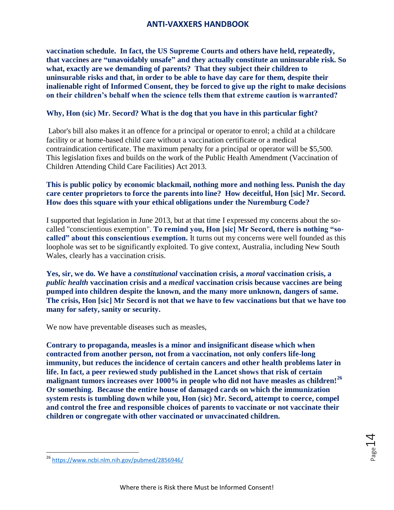**vaccination schedule. In fact, the US Supreme Courts and others have held, repeatedly, that vaccines are "unavoidably unsafe" and they actually constitute an uninsurable risk. So what, exactly are we demanding of parents? That they subject their children to uninsurable risks and that, in order to be able to have day care for them, despite their inalienable right of Informed Consent, they be forced to give up the right to make decisions on their children's behalf when the science tells them that extreme caution is warranted?**

#### **Why, Hon (sic) Mr. Secord? What is the dog that you have in this particular fight?**

Labor's bill also makes it an offence for a principal or operator to enrol; a child at a childcare facility or at home-based child care without a vaccination certificate or a medical contraindication certificate. The maximum penalty for a principal or operator will be \$5,500. This legislation fixes and builds on the work of the Public Health Amendment (Vaccination of Children Attending Child Care Facilities) Act 2013.

## **This is public policy by economic blackmail, nothing more and nothing less. Punish the day care center proprietors to force the parents into line? How deceitful, Hon [sic] Mr. Secord. How does this square with your ethical obligations under the Nuremburg Code?**

I supported that legislation in June 2013, but at that time I expressed my concerns about the socalled "conscientious exemption". **To remind you, Hon [sic] Mr Secord, there is nothing "socalled" about this conscientious exemption.** It turns out my concerns were well founded as this loophole was set to be significantly exploited. To give context, Australia, including New South Wales, clearly has a vaccination crisis.

**Yes, sir, we do. We have a** *constitutional* **vaccination crisis, a** *moral* **vaccination crisis, a**  *public health* **vaccination crisis and a** *medical* **vaccination crisis because vaccines are being pumped into children despite the known, and the many more unknown, dangers of same. The crisis, Hon [sic] Mr Secord is not that we have to few vaccinations but that we have too many for safety, sanity or security.**

We now have preventable diseases such as measles,

**Contrary to propaganda, measles is a minor and insignificant disease which when contracted from another person, not from a vaccination, not only confers life-long immunity, but reduces the incidence of certain cancers and other health problems later in life. In fact, a peer reviewed study published in the Lancet shows that risk of certain malignant tumors increases over 1000% in people who did not have measles as children!<sup>26</sup> Or something. Because the entire house of damaged cards on which the immunization system rests is tumbling down while you, Hon (sic) Mr. Secord, attempt to coerce, compel and control the free and responsible choices of parents to vaccinate or not vaccinate their children or congregate with other vaccinated or unvaccinated children.**



<sup>&</sup>lt;sup>26</sup> <https://www.ncbi.nlm.nih.gov/pubmed/2856946/>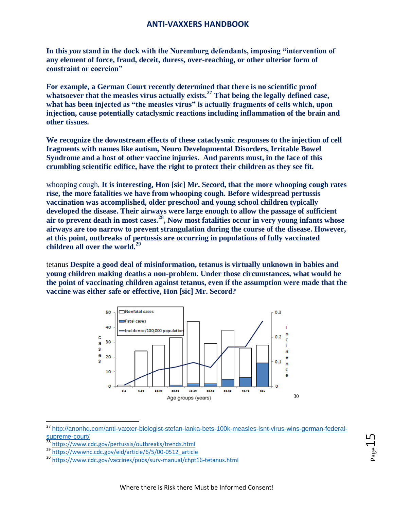**In this** *you* **stand in the dock with the Nuremburg defendants, imposing "intervention of any element of force, fraud, deceit, duress, over-reaching, or other ulterior form of constraint or coercion"**

**For example, a German Court recently determined that there is no scientific proof whatsoever that the measles virus actually exists.<sup>27</sup> That being the legally defined case, what has been injected as "the measles virus" is actually fragments of cells which, upon injection, cause potentially cataclysmic reactions including inflammation of the brain and other tissues.** 

**We recognize the downstream effects of these cataclysmic responses to the injection of cell fragments with names like autism, Neuro Developmental Disorders, Irritable Bowel Syndrome and a host of other vaccine injuries. And parents must, in the face of this crumbling scientific edifice, have the right to protect their children as they see fit.**

whooping cough, **It is interesting, Hon [sic] Mr. Secord, that the more whooping cough rates rise, the more fatalities we have from whooping cough. Before widespread pertussis vaccination was accomplished, older preschool and young school children typically developed the disease. Their airways were large enough to allow the passage of sufficient air to prevent death in most cases.<sup>28</sup>, Now most fatalities occur in very young infants whose airways are too narrow to prevent strangulation during the course of the disease. However, at this point, outbreaks of pertussis are occurring in populations of fully vaccinated children all over the world.<sup>29</sup>**

tetanus **Despite a good deal of misinformation, tetanus is virtually unknown in babies and young children making deaths a non-problem. Under those circumstances, what would be the point of vaccinating children against tetanus, even if the assumption were made that the vaccine was either safe or effective, Hon [sic] Mr. Secord?**



<sup>&</sup>lt;sup>27</sup> [http://anonhq.com/anti-vaxxer-biologist-stefan-lanka-bets-100k-measles-isnt-virus-wins-german-federal](http://anonhq.com/anti-vaxxer-biologist-stefan-lanka-bets-100k-measles-isnt-virus-wins-german-federal-supreme-court/)[supreme-court/](http://anonhq.com/anti-vaxxer-biologist-stefan-lanka-bets-100k-measles-isnt-virus-wins-german-federal-supreme-court/)

<sup>28</sup> <https://www.cdc.gov/pertussis/outbreaks/trends.html>

<sup>&</sup>lt;sup>29</sup> [https://wwwnc.cdc.gov/eid/article/6/5/00-0512\\_article](https://wwwnc.cdc.gov/eid/article/6/5/00-0512_article)

<sup>30</sup> <https://www.cdc.gov/vaccines/pubs/surv-manual/chpt16-tetanus.html>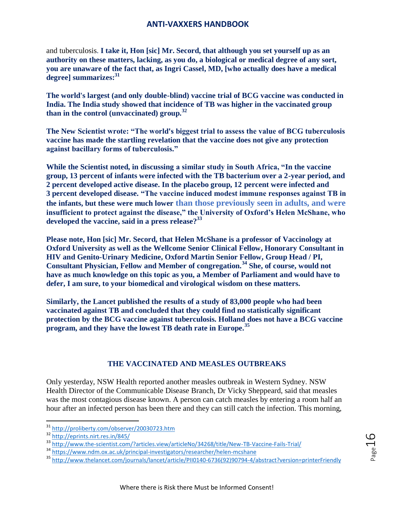and tuberculosis. **I take it, Hon [sic] Mr. Secord, that although you set yourself up as an authority on these matters, lacking, as you do, a biological or medical degree of any sort, you are unaware of the fact that, as Ingri Cassel, MD, [who actually does have a medical degree] summarizes:<sup>31</sup>**

**The world's largest (and only double-blind) vaccine trial of BCG vaccine was conducted in India. The India study showed that incidence of TB was higher in the vaccinated group than in the control (unvaccinated) group.<sup>32</sup>**

**The New Scientist wrote: "The world's biggest trial to assess the value of BCG tuberculosis vaccine has made the startling revelation that the vaccine does not give any protection against bacillary forms of tuberculosis."** 

**While the Scientist noted, in discussing a similar study in South Africa, "In the vaccine group, 13 percent of infants were infected with the TB bacterium over a 2-year period, and 2 percent developed active disease. In the placebo group, 12 percent were infected and 3 percent developed disease. "The vaccine induced modest immune responses against TB in the infants, but these were much lower than those previously seen in adults, and were insufficient to protect against the disease," the University of Oxford's Helen McShane, who developed the vaccine, said in a press release?<sup>33</sup>**

**Please note, Hon [sic] Mr. Secord, that Helen McShane is a professor of Vaccinology at Oxford University as well as the Wellcome Senior Clinical Fellow, Honorary Consultant in HIV and Genito-Urinary Medicine, Oxford Martin Senior Fellow, Group Head / PI, Consultant Physician, Fellow and Member of congregation.<sup>34</sup> She, of course, would not have as much knowledge on this topic as you, a Member of Parliament and would have to defer, I am sure, to your biomedical and virological wisdom on these matters.**

**Similarly, the Lancet published the results of a study of 83,000 people who had been vaccinated against TB and concluded that they could find no statistically significant protection by the BCG vaccine against tuberculosis. Holland does not have a BCG vaccine program, and they have the lowest TB death rate in Europe.<sup>35</sup>**

# **THE VACCINATED AND MEASLES OUTBREAKS**

Only yesterday, NSW Health reported another measles outbreak in Western Sydney. NSW Health Director of the Communicable Disease Branch, Dr Vicky Sheppeard, said that measles was the most contagious disease known. A person can catch measles by entering a room half an hour after an infected person has been there and they can still catch the infection. This morning,

$$
\mathsf{Page}\hspace{.01in}\mathsf{16}
$$

<sup>&</sup>lt;sup>31</sup> <http://proliberty.com/observer/20030723.htm>

<sup>32</sup> <http://eprints.nirt.res.in/845/>

<sup>33</sup> <http://www.the-scientist.com/?articles.view/articleNo/34268/title/New-TB-Vaccine-Fails-Trial/>

<sup>34</sup> <https://www.ndm.ox.ac.uk/principal-investigators/researcher/helen-mcshane>

<sup>35</sup> [http://www.thelancet.com/journals/lancet/article/PII0140-6736\(92\)90794-4/abstract?version=printerFriendly](http://www.thelancet.com/journals/lancet/article/PII0140-6736(92)90794-4/abstract?version=printerFriendly)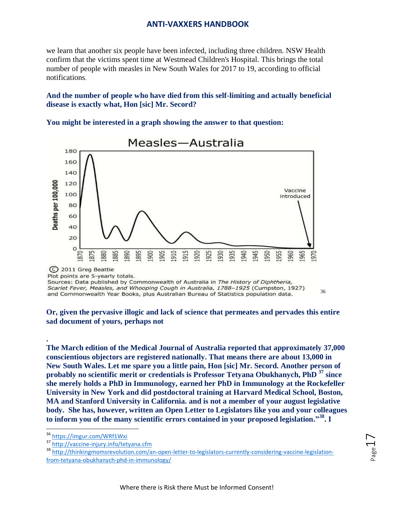we learn that another six people have been infected, including three children. NSW Health confirm that the victims spent time at Westmead Children's Hospital. This brings the total number of people with measles in New South Wales for 2017 to 19, according to official notifications.

#### **And the number of people who have died from this self-limiting and actually beneficial disease is exactly what, Hon [sic] Mr. Secord?**





#### **Or, given the pervasive illogic and lack of science that permeates and pervades this entire sad document of yours, perhaps not**

**The March edition of the Medical Journal of Australia reported that approximately 37,000 conscientious objectors are registered nationally. That means there are about 13,000 in New South Wales. Let me spare you a little pain, Hon [sic] Mr. Secord. Another person of probably no scientific merit or credentials is Professor Tetyana Obukhanych, PhD <sup>37</sup> since she merely holds a PhD in Immunology***,* **earned her PhD in Immunology at the Rockefeller University in New York and did postdoctoral training at Harvard Medical School, Boston, MA and Stanford University in California. and is not a member of your august legislative body. She has, however, written an Open Letter to Legislators like you and your colleagues to inform you of the many scientific errors contained in your proposed legislation."<sup>38</sup>. I** 

**.**

<sup>&</sup>lt;sup>36</sup> <https://imgur.com/WRf1Wxi>

<sup>37</sup> <http://vaccine-injury.info/tetyana.cfm>

<sup>38</sup> [http://thinkingmomsrevolution.com/an-open-letter-to-legislators-currently-considering-vaccine-legislation](http://thinkingmomsrevolution.com/an-open-letter-to-legislators-currently-considering-vaccine-legislation-from-tetyana-obukhanych-phd-in-immunology/)[from-tetyana-obukhanych-phd-in-immunology/](http://thinkingmomsrevolution.com/an-open-letter-to-legislators-currently-considering-vaccine-legislation-from-tetyana-obukhanych-phd-in-immunology/)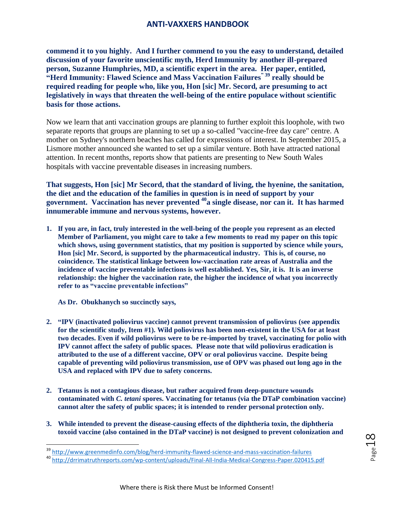**commend it to you highly. And I further commend to you the easy to understand, detailed discussion of your favorite unscientific myth, Herd Immunity by another ill-prepared person, Suzanne Humphries, MD, a scientific expert in the area. Her paper, entitled, "Herd Immunity: Flawed Science and Mass Vaccination Failures" 39 really should be required reading for people who, like you, Hon [sic] Mr. Secord, are presuming to act legislatively in ways that threaten the well-being of the entire populace without scientific basis for those actions.**

Now we learn that anti vaccination groups are planning to further exploit this loophole, with two separate reports that groups are planning to set up a so-called "vaccine-free day care" centre. A mother on Sydney's northern beaches has called for expressions of interest. In September 2015, a Lismore mother announced she wanted to set up a similar venture. Both have attracted national attention. In recent months, reports show that patients are presenting to New South Wales hospitals with vaccine preventable diseases in increasing numbers.

**That suggests, Hon [sic] Mr Secord, that the standard of living, the hyenine, the sanitation, the diet and the education of the families in question is in need of support by your government. Vaccination has never prevented <sup>40</sup>a single disease, nor can it. It has harmed innumerable immune and nervous systems, however.**

**1. If you are, in fact, truly interested in the well-being of the people you represent as an elected Member of Parliament, you might care to take a few moments to read my paper on this topic which shows, using government statistics, that my position is supported by science while yours, Hon [sic] Mr. Secord, is supported by the pharmaceutical industry. This is, of course, no coincidence. The statistical linkage between low-vaccination rate areas of Australia and the incidence of vaccine preventable infections is well established. Yes, Sir, it is. It is an inverse relationship: the higher the vaccination rate, the higher the incidence of what you incorrectly refer to as "vaccine preventable infections"** 

**As Dr. Obukhanych so succinctly says,** 

- **2. "IPV (inactivated poliovirus vaccine) cannot prevent transmission of poliovirus (see appendix for the scientific study, Item #1). Wild poliovirus has been non-existent in the USA for at least two decades. Even if wild poliovirus were to be re-imported by travel, vaccinating for polio with IPV cannot affect the safety of public spaces. Please note that wild poliovirus eradication is attributed to the use of a different vaccine, OPV or oral poliovirus vaccine. Despite being capable of preventing wild poliovirus transmission, use of OPV was phased out long ago in the USA and replaced with IPV due to safety concerns.**
- **2. Tetanus is not a contagious disease, but rather acquired from deep-puncture wounds contaminated with** *C. tetani* **spores. Vaccinating for tetanus (via the DTaP combination vaccine) cannot alter the safety of public spaces; it is intended to render personal protection only.**
- **3. While intended to prevent the disease-causing effects of the diphtheria toxin, the diphtheria toxoid vaccine (also contained in the DTaP vaccine) is not designed to prevent colonization and**

<sup>39</sup> <http://www.greenmedinfo.com/blog/herd-immunity-flawed-science-and-mass-vaccination-failures>

<sup>40</sup> <http://drrimatruthreports.com/wp-content/uploads/Final-All-India-Medical-Congress-Paper.020415.pdf>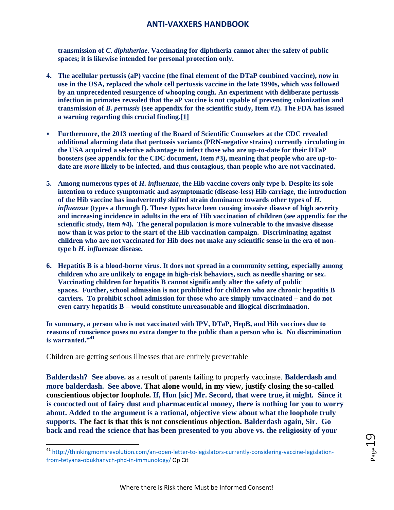**transmission of** *C. diphtheriae***. Vaccinating for diphtheria cannot alter the safety of public spaces; it is likewise intended for personal protection only.**

- **4. The acellular pertussis (aP) vaccine (the final element of the DTaP combined vaccine), now in use in the USA, replaced the whole cell pertussis vaccine in the late 1990s, which was followed by an unprecedented resurgence of whooping cough. An experiment with deliberate pertussis infection in primates revealed that the aP vaccine is not capable of preventing colonization and transmission of** *B. pertussis* **(see appendix for the scientific study, Item #2). The FDA has issued a warning regarding this crucial finding[.\[1\]](http://thinkingmomsrevolution.com/an-open-letter-to-legislators-currently-considering-vaccine-legislation-from-tetyana-obukhanych-phd-in-immunology/#_ftn1)**
- **Furthermore, the 2013 meeting of the Board of Scientific Counselors at the CDC revealed additional alarming data that pertussis variants (PRN-negative strains) currently circulating in the USA acquired a selective advantage to infect those who are up-to-date for their DTaP boosters (see appendix for the CDC document, Item #3), meaning that people who are up-todate are** *more* **likely to be infected, and thus contagious, than people who are not vaccinated.**
- **5. Among numerous types of** *H. influenzae***, the Hib vaccine covers only type b. Despite its sole intention to reduce symptomatic and asymptomatic (disease-less) Hib carriage, the introduction of the Hib vaccine has inadvertently shifted strain dominance towards other types of** *H. influenzae* **(types a through f). These types have been causing invasive disease of high severity and increasing incidence in adults in the era of Hib vaccination of children (see appendix for the scientific study, Item #4). The general population is more vulnerable to the invasive disease now than it was prior to the start of the Hib vaccination campaign. Discriminating against children who are not vaccinated for Hib does not make any scientific sense in the era of nontype b** *H. influenzae* **disease.**
- **6. Hepatitis B is a blood-borne virus. It does not spread in a community setting, especially among children who are unlikely to engage in high-risk behaviors, such as needle sharing or sex. Vaccinating children for hepatitis B cannot significantly alter the safety of public spaces. Further, school admission is not prohibited for children who are chronic hepatitis B carriers. To prohibit school admission for those who are simply unvaccinated – and do not even carry hepatitis B – would constitute unreasonable and illogical discrimination.**

**In summary, a person who is not vaccinated with IPV, DTaP, HepB, and Hib vaccines due to reasons of conscience poses no extra danger to the public than a person who is. No discrimination is warranted."<sup>41</sup>**

Children are getting serious illnesses that are entirely preventable

 $\overline{a}$ 

**Balderdash? See above.** as a result of parents failing to properly vaccinate. **Balderdash and more balderdash. See above. That alone would, in my view, justify closing the so-called conscientious objector loophole. If, Hon [sic] Mr. Secord, that were true, it might. Since it is concocted out of fairy dust and pharmaceutical money, there is nothing for you to worry about. Added to the argument is a rational, objective view about what the loophole truly supports. The fact is that this is not conscientious objection. Balderdash again, Sir. Go back and read the science that has been presented to you above vs. the religiosity of your** 

<sup>41</sup> [http://thinkingmomsrevolution.com/an-open-letter-to-legislators-currently-considering-vaccine-legislation](http://thinkingmomsrevolution.com/an-open-letter-to-legislators-currently-considering-vaccine-legislation-from-tetyana-obukhanych-phd-in-immunology/)[from-tetyana-obukhanych-phd-in-immunology/](http://thinkingmomsrevolution.com/an-open-letter-to-legislators-currently-considering-vaccine-legislation-from-tetyana-obukhanych-phd-in-immunology/) Op Cit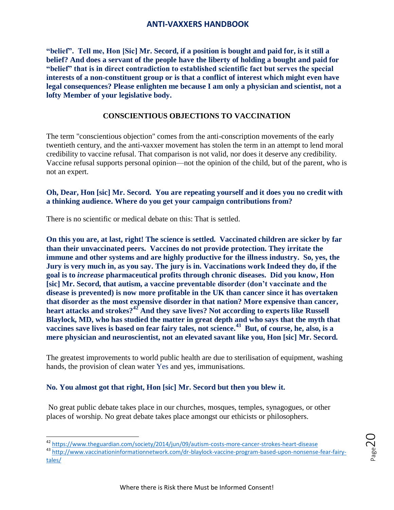**"belief". Tell me, Hon [Sic] Mr. Secord, if a position is bought and paid for, is it still a belief? And does a servant of the people have the liberty of holding a bought and paid for "belief" that is in direct contradiction to established scientific fact but serves the special interests of a non-constituent group or is that a conflict of interest which might even have legal consequences? Please enlighten me because I am only a physician and scientist, not a lofty Member of your legislative body.**

#### **CONSCIENTIOUS OBJECTIONS TO VACCINATION**

The term "conscientious objection" comes from the anti-conscription movements of the early twentieth century, and the anti-vaxxer movement has stolen the term in an attempt to lend moral credibility to vaccine refusal. That comparison is not valid, nor does it deserve any credibility. Vaccine refusal supports personal opinion—not the opinion of the child, but of the parent, who is not an expert.

#### **Oh, Dear, Hon [sic] Mr. Secord. You are repeating yourself and it does you no credit with a thinking audience. Where do you get your campaign contributions from?**

There is no scientific or medical debate on this: That is settled.

**On this you are, at last, right! The science is settled. Vaccinated children are sicker by far than their unvaccinated peers. Vaccines do not provide protection. They irritate the immune and other systems and are highly productive for the illness industry. So, yes, the Jury is very much in, as you say. The jury is in. Vaccinations work Indeed they do, if the goal is to** *increase* **pharmaceutical profits through chronic diseases. Did you know, Hon [sic] Mr. Secord, that autism, a vaccine preventable disorder (don't vaccinate and the disease is prevented) is now more profitable in the UK than cancer since it has overtaken that disorder as the most expensive disorder in that nation? More expensive than cancer, heart attacks and strokes?<sup>42</sup> And they save lives? Not according to experts like Russell Blaylock, MD, who has studied the matter in great depth and who says that the myth that**  vaccines save lives is based on fear fairy tales, not science.<sup>43</sup> But, of course, he, also, is a **mere physician and neuroscientist, not an elevated savant like you, Hon [sic] Mr. Secord.**

The greatest improvements to world public health are due to sterilisation of equipment, washing hands, the provision of clean water Yes and yes, immunisations.

## **No. You almost got that right, Hon [sic] Mr. Secord but then you blew it.**

l

No great public debate takes place in our churches, mosques, temples, synagogues, or other places of worship. No great debate takes place amongst our ethicists or philosophers.

<sup>&</sup>lt;sup>42</sup> <https://www.theguardian.com/society/2014/jun/09/autism-costs-more-cancer-strokes-heart-disease>

<sup>43</sup> [http://www.vaccinationinformationnetwork.com/dr-blaylock-vaccine-program-based-upon-nonsense-fear-fairy](http://www.vaccinationinformationnetwork.com/dr-blaylock-vaccine-program-based-upon-nonsense-fear-fairy-tales/)[tales/](http://www.vaccinationinformationnetwork.com/dr-blaylock-vaccine-program-based-upon-nonsense-fear-fairy-tales/)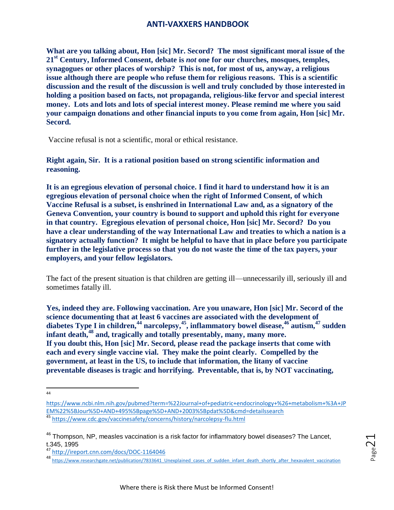**What are you talking about, Hon [sic] Mr. Secord? The most significant moral issue of the 21st Century, Informed Consent, debate is** *not* **one for our churches, mosques, temples, synagogues or other places of worship? This is not, for most of us, anyway, a religious issue although there are people who refuse them for religious reasons. This is a scientific discussion and the result of the discussion is well and truly concluded by those interested in holding a position based on facts, not propaganda, religious-like fervor and special interest money. Lots and lots and lots of special interest money. Please remind me where you said your campaign donations and other financial inputs to you come from again, Hon [sic] Mr. Secord.**

Vaccine refusal is not a scientific, moral or ethical resistance.

**Right again, Sir. It is a rational position based on strong scientific information and reasoning.**

**It is an egregious elevation of personal choice. I find it hard to understand how it is an egregious elevation of personal choice when the right of Informed Consent, of which Vaccine Refusal is a subset, is enshrined in International Law and, as a signatory of the Geneva Convention, your country is bound to support and uphold this right for everyone in that country. Egregious elevation of personal choice, Hon [sic] Mr. Secord? Do you have a clear understanding of the way International Law and treaties to which a nation is a signatory actually function? It might be helpful to have that in place before you participate further in the legislative process so that you do not waste the time of the tax payers, your employers, and your fellow legislators.**

The fact of the present situation is that children are getting ill—unnecessarily ill, seriously ill and sometimes fatally ill.

**Yes, indeed they are. Following vaccination. Are you unaware, Hon [sic] Mr. Secord of the science documenting that at least 6 vaccines are associated with the development of diabetes Type I in children,<sup>44</sup> narcolepsy,<sup>45</sup> , inflammatory bowel disease,<sup>46</sup> autism,<sup>47</sup> sudden infant death,<sup>48</sup> and, tragically and totally presentably, many, many more. If you doubt this, Hon [sic] Mr. Secord, please read the package inserts that come with each and every single vaccine vial. They make the point clearly. Compelled by the government, at least in the US, to include that information, the litany of vaccine preventable diseases is tragic and horrifying. Preventable, that is, by NOT vaccinating,** 

<sup>—&</sup>lt;br>44

[https://www.ncbi.nlm.nih.gov/pubmed?term=%22Journal+of+pediatric+endocrinology+%26+metabolism+%3A+JP](https://www.ncbi.nlm.nih.gov/pubmed?term=%22Journal+of+pediatric+endocrinology+%26+metabolism+%3A+JPEM%22%5BJour%5D+AND+495%5Bpage%5D+AND+2003%5Bpdat%5D&cmd=detailssearch) [EM%22%5BJour%5D+AND+495%5Bpage%5D+AND+2003%5Bpdat%5D&cmd=detailssearch](https://www.ncbi.nlm.nih.gov/pubmed?term=%22Journal+of+pediatric+endocrinology+%26+metabolism+%3A+JPEM%22%5BJour%5D+AND+495%5Bpage%5D+AND+2003%5Bpdat%5D&cmd=detailssearch) <sup>45</sup> <https://www.cdc.gov/vaccinesafety/concerns/history/narcolepsy-flu.html>

<sup>&</sup>lt;sup>46</sup> Thompson, NP, measles vaccination is a risk factor for inflammatory bowel diseases? The Lancet, t.345, 1995

<sup>47</sup> <http://ireport.cnn.com/docs/DOC-1164046>

<sup>48</sup> [https://www.researchgate.net/publication/7833641\\_Unexplained\\_cases\\_of\\_sudden\\_infant\\_death\\_shortly\\_after\\_hexavalent\\_vaccination](https://www.researchgate.net/publication/7833641_Unexplained_cases_of_sudden_infant_death_shortly_after_hexavalent_vaccination)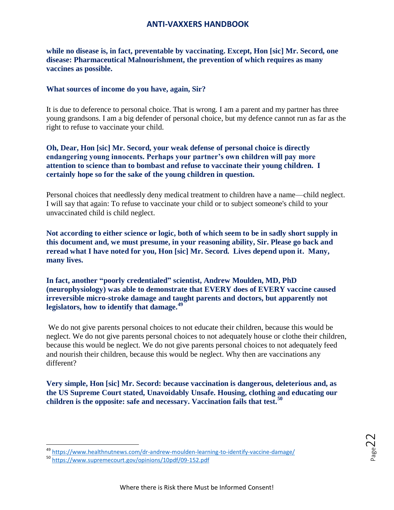**while no disease is, in fact, preventable by vaccinating. Except, Hon [sic] Mr. Secord, one disease: Pharmaceutical Malnourishment, the prevention of which requires as many vaccines as possible.** 

#### **What sources of income do you have, again, Sir?**

It is due to deference to personal choice. That is wrong. I am a parent and my partner has three young grandsons. I am a big defender of personal choice, but my defence cannot run as far as the right to refuse to vaccinate your child.

#### **Oh, Dear, Hon [sic] Mr. Secord, your weak defense of personal choice is directly endangering young innocents. Perhaps your partner's own children will pay more attention to science than to bombast and refuse to vaccinate their young children. I certainly hope so for the sake of the young children in question.**

Personal choices that needlessly deny medical treatment to children have a name—child neglect. I will say that again: To refuse to vaccinate your child or to subject someone's child to your unvaccinated child is child neglect.

**Not according to either science or logic, both of which seem to be in sadly short supply in this document and, we must presume, in your reasoning ability, Sir. Please go back and reread what I have noted for you, Hon [sic] Mr. Secord. Lives depend upon it. Many, many lives.**

#### **In fact, another "poorly credentialed" scientist, Andrew Moulden, MD, PhD (neurophysiology) was able to demonstrate that EVERY does of EVERY vaccine caused irreversible micro-stroke damage and taught parents and doctors, but apparently not legislators, how to identify that damage.<sup>49</sup>**

We do not give parents personal choices to not educate their children, because this would be neglect. We do not give parents personal choices to not adequately house or clothe their children, because this would be neglect. We do not give parents personal choices to not adequately feed and nourish their children, because this would be neglect. Why then are vaccinations any different?

**Very simple, Hon [sic] Mr. Secord: because vaccination is dangerous, deleterious and, as the US Supreme Court stated, Unavoidably Unsafe. Housing, clothing and educating our children is the opposite: safe and necessary. Vaccination fails that test.<sup>50</sup>**

 $\overline{a}$ 

 $P_{\text{age}}$ 2

<sup>49</sup> <https://www.healthnutnews.com/dr-andrew-moulden-learning-to-identify-vaccine-damage/>

<sup>50</sup> <https://www.supremecourt.gov/opinions/10pdf/09-152.pdf>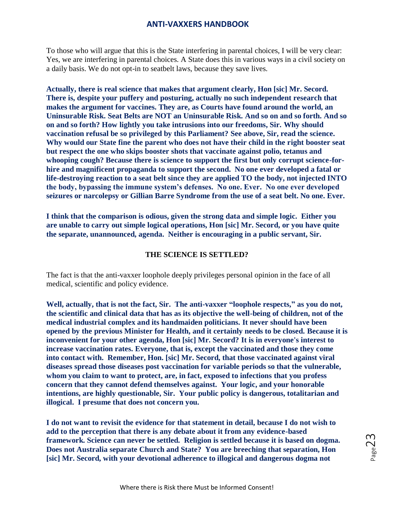To those who will argue that this is the State interfering in parental choices, I will be very clear: Yes, we are interfering in parental choices. A State does this in various ways in a civil society on a daily basis. We do not opt-in to seatbelt laws, because they save lives.

**Actually, there is real science that makes that argument clearly, Hon [sic] Mr. Secord. There is, despite your puffery and posturing, actually no such independent research that makes the argument for vaccines. They are, as Courts have found around the world, an Uninsurable Risk. Seat Belts are NOT an Uninsurable Risk. And so on and so forth. And so on and so forth? How lightly you take intrusions into our freedoms, Sir. Why should vaccination refusal be so privileged by this Parliament? See above, Sir, read the science. Why would our State fine the parent who does not have their child in the right booster seat but respect the one who skips booster shots that vaccinate against polio, tetanus and whooping cough? Because there is science to support the first but only corrupt science-forhire and magnificent propaganda to support the second. No one ever developed a fatal or life-destroying reaction to a seat belt since they are applied TO the body, not injected INTO the body, bypassing the immune system's defenses. No one. Ever. No one ever developed seizures or narcolepsy or Gillian Barre Syndrome from the use of a seat belt. No one. Ever.**

**I think that the comparison is odious, given the strong data and simple logic. Either you are unable to carry out simple logical operations, Hon [sic] Mr. Secord, or you have quite the separate, unannounced, agenda. Neither is encouraging in a public servant, Sir.**

#### **THE SCIENCE IS SETTLED?**

The fact is that the anti-vaxxer loophole deeply privileges personal opinion in the face of all medical, scientific and policy evidence.

**Well, actually, that is not the fact, Sir. The anti-vaxxer "loophole respects," as you do not, the scientific and clinical data that has as its objective the well-being of children, not of the medical industrial complex and its handmaiden politicians. It never should have been opened by the previous Minister for Health, and it certainly needs to be closed. Because it is inconvenient for your other agenda, Hon [sic] Mr. Secord? It is in everyone's interest to increase vaccination rates. Everyone, that is, except the vaccinated and those they come into contact with. Remember, Hon. [sic] Mr. Secord, that those vaccinated against viral diseases spread those diseases post vaccination for variable periods so that the vulnerable, whom you claim to want to protect, are, in fact, exposed to infections that you profess concern that they cannot defend themselves against. Your logic, and your honorable intentions, are highly questionable, Sir. Your public policy is dangerous, totalitarian and illogical. I presume that does not concern you.** 

**I do not want to revisit the evidence for that statement in detail, because I do not wish to add to the perception that there is any debate about it from any evidence-based framework. Science can never be settled. Religion is settled because it is based on dogma. Does not Australia separate Church and State? You are breeching that separation, Hon [sic] Mr. Secord, with your devotional adherence to illogical and dangerous dogma not**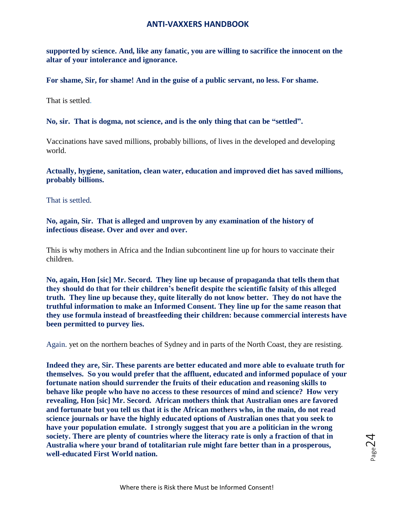**supported by science. And, like any fanatic, you are willing to sacrifice the innocent on the altar of your intolerance and ignorance.** 

**For shame, Sir, for shame! And in the guise of a public servant, no less. For shame.** 

That is settled.

**No, sir. That is dogma, not science, and is the only thing that can be "settled".** 

Vaccinations have saved millions, probably billions, of lives in the developed and developing world.

**Actually, hygiene, sanitation, clean water, education and improved diet has saved millions, probably billions.** 

That is settled.

**No, again, Sir. That is alleged and unproven by any examination of the history of infectious disease. Over and over and over.** 

This is why mothers in Africa and the Indian subcontinent line up for hours to vaccinate their children.

**No, again, Hon [sic] Mr. Secord. They line up because of propaganda that tells them that they should do that for their children's benefit despite the scientific falsity of this alleged truth. They line up because they, quite literally do not know better. They do not have the truthful information to make an Informed Consent. They line up for the same reason that they use formula instead of breastfeeding their children: because commercial interests have been permitted to purvey lies.** 

Again. yet on the northern beaches of Sydney and in parts of the North Coast, they are resisting.

**Indeed they are, Sir. These parents are better educated and more able to evaluate truth for themselves. So you would prefer that the affluent, educated and informed populace of your fortunate nation should surrender the fruits of their education and reasoning skills to behave like people who have no access to these resources of mind and science? How very revealing, Hon [sic] Mr. Secord. African mothers think that Australian ones are favored and fortunate but you tell us that it is the African mothers who, in the main, do not read science journals or have the highly educated options of Australian ones that you seek to have your population emulate. I strongly suggest that you are a politician in the wrong society. There are plenty of countries where the literacy rate is only a fraction of that in Australia where your brand of totalitarian rule might fare better than in a prosperous, well-educated First World nation.**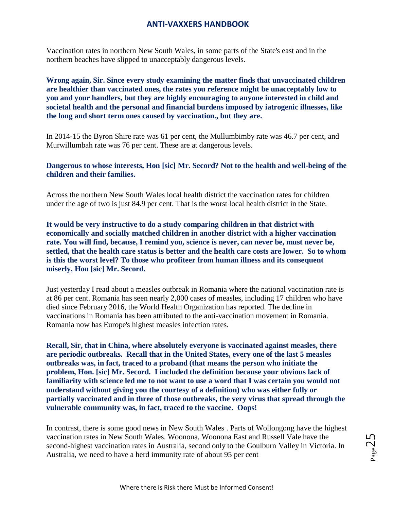Vaccination rates in northern New South Wales, in some parts of the State's east and in the northern beaches have slipped to unacceptably dangerous levels.

**Wrong again, Sir. Since every study examining the matter finds that unvaccinated children are healthier than vaccinated ones, the rates you reference might be unacceptably low to you and your handlers, but they are highly encouraging to anyone interested in child and societal health and the personal and financial burdens imposed by iatrogenic illnesses, like the long and short term ones caused by vaccination., but they are.**

In 2014-15 the Byron Shire rate was 61 per cent, the Mullumbimby rate was 46.7 per cent, and Murwillumbah rate was 76 per cent. These are at dangerous levels.

#### **Dangerous to whose interests, Hon [sic] Mr. Secord? Not to the health and well-being of the children and their families.**

Across the northern New South Wales local health district the vaccination rates for children under the age of two is just 84.9 per cent. That is the worst local health district in the State.

**It would be very instructive to do a study comparing children in that district with economically and socially matched children in another district with a higher vaccination rate. You will find, because, I remind you, science is never, can never be, must never be, settled, that the health care status is better and the health care costs are lower. So to whom is this the worst level? To those who profiteer from human illness and its consequent miserly, Hon [sic] Mr. Secord.** 

Just yesterday I read about a measles outbreak in Romania where the national vaccination rate is at 86 per cent. Romania has seen nearly 2,000 cases of measles, including 17 children who have died since February 2016, the World Health Organization has reported. The decline in vaccinations in Romania has been attributed to the anti-vaccination movement in Romania. Romania now has Europe's highest measles infection rates.

**Recall, Sir, that in China, where absolutely everyone is vaccinated against measles, there are periodic outbreaks. Recall that in the United States, every one of the last 5 measles outbreaks was, in fact, traced to a proband (that means the person who initiate the problem, Hon. [sic] Mr. Secord. I included the definition because your obvious lack of familiarity with science led me to not want to use a word that I was certain you would not understand without giving you the courtesy of a definition) who was either fully or partially vaccinated and in three of those outbreaks, the very virus that spread through the vulnerable community was, in fact, traced to the vaccine. Oops!**

In contrast, there is some good news in New South Wales . Parts of Wollongong have the highest vaccination rates in New South Wales. Woonona, Woonona East and Russell Vale have the second-highest vaccination rates in Australia, second only to the Goulburn Valley in Victoria. In Australia, we need to have a herd immunity rate of about 95 per cent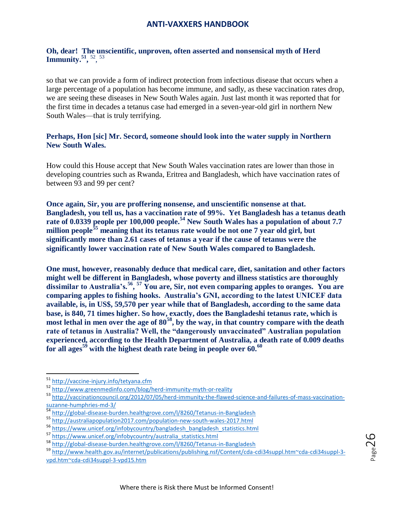#### **Oh, dear! The unscientific, unproven, often asserted and nonsensical myth of Herd Immunity.<sup>51</sup> ,** 52 , 53

so that we can provide a form of indirect protection from infectious disease that occurs when a large percentage of a population has become immune, and sadly, as these vaccination rates drop, we are seeing these diseases in New South Wales again. Just last month it was reported that for the first time in decades a tetanus case had emerged in a seven-year-old girl in northern New South Wales—that is truly terrifying.

#### **Perhaps, Hon [sic] Mr. Secord, someone should look into the water supply in Northern New South Wales.**

How could this House accept that New South Wales vaccination rates are lower than those in developing countries such as Rwanda, Eritrea and Bangladesh, which have vaccination rates of between 93 and 99 per cent?

**Once again, Sir, you are proffering nonsense, and unscientific nonsense at that. Bangladesh, you tell us, has a vaccination rate of 99%. Yet Bangladesh has a tetanus death rate of 0.0339 people per 100,000 people.<sup>54</sup> New South Wales has a population of about 7.7 million people<sup>55</sup> meaning that its tetanus rate would be not one 7 year old girl, but significantly more than 2.61 cases of tetanus a year if the cause of tetanus were the significantly lower vaccination rate of New South Wales compared to Bangladesh.**

**One must, however, reasonably deduce that medical care, diet, sanitation and other factors might well be different in Bangladesh, whose poverty and illness statistics are thoroughly dissimilar to Australia's.<sup>56</sup> , <sup>57</sup> You are, Sir, not even comparing apples to oranges. You are comparing apples to fishing hooks. Australia's GNI, according to the latest UNICEF data available, is, in US\$, 59,570 per year while that of Bangladesh, according to the same data base, is 840, 71 times higher. So how, exactly, does the Bangladeshi tetanus rate, which is most lethal in men over the age of 80<sup>58</sup>, by the way, in that country compare with the death rate of tetanus in Australia? Well, the "dangerously unvaccinated" Australian population experienced, according to the Health Department of Australia, a death rate of 0.009 deaths**  for all ages<sup> $59$ </sup> with the highest death rate being in people over  $60.60$ 

<sup>&</sup>lt;sup>51</sup> <http://vaccine-injury.info/tetyana.cfm>

<sup>52</sup> <http://www.greenmedinfo.com/blog/herd-immunity-myth-or-reality>

<sup>53</sup> [http://vaccinationcouncil.org/2012/07/05/herd-immunity-the-flawed-science-and-failures-of-mass-vaccination](http://vaccinationcouncil.org/2012/07/05/herd-immunity-the-flawed-science-and-failures-of-mass-vaccination-suzanne-humphries-md-3/)[suzanne-humphries-md-3/](http://vaccinationcouncil.org/2012/07/05/herd-immunity-the-flawed-science-and-failures-of-mass-vaccination-suzanne-humphries-md-3/)

<http://global-disease-burden.healthgrove.com/l/8260/Tetanus-in-Bangladesh>

<sup>55</sup> <http://australiapopulation2017.com/population-new-south-wales-2017.html>

<sup>56</sup> [https://www.unicef.org/infobycountry/bangladesh\\_bangladesh\\_statistics.html](https://www.unicef.org/infobycountry/bangladesh_bangladesh_statistics.html)

<sup>57</sup> [https://www.unicef.org/infobycountry/australia\\_statistics.html](https://www.unicef.org/infobycountry/australia_statistics.html)

<sup>58</sup> <http://global-disease-burden.healthgrove.com/l/8260/Tetanus-in-Bangladesh>

<sup>59</sup> [http://www.health.gov.au/internet/publications/publishing.nsf/Content/cda-cdi34suppl.htm~cda-cdi34suppl-3](http://www.health.gov.au/internet/publications/publishing.nsf/Content/cda-cdi34suppl.htm~cda-cdi34suppl-3-vpd.htm~cda-cdi34suppl-3-vpd15.htm) [vpd.htm~cda-cdi34suppl-3-vpd15.htm](http://www.health.gov.au/internet/publications/publishing.nsf/Content/cda-cdi34suppl.htm~cda-cdi34suppl-3-vpd.htm~cda-cdi34suppl-3-vpd15.htm)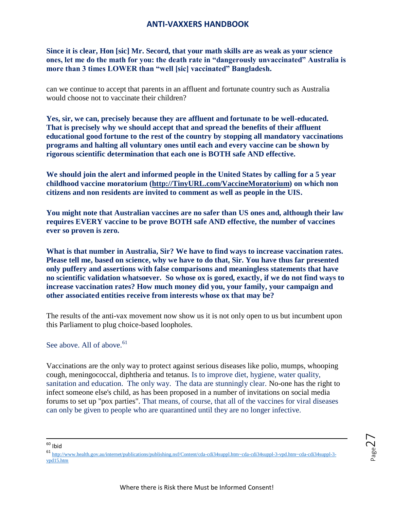**Since it is clear, Hon [sic] Mr. Secord, that your math skills are as weak as your science ones, let me do the math for you: the death rate in "dangerously unvaccinated" Australia is more than 3 times LOWER than "well [sic] vaccinated" Bangladesh.**

can we continue to accept that parents in an affluent and fortunate country such as Australia would choose not to vaccinate their children?

**Yes, sir, we can, precisely because they are affluent and fortunate to be well-educated. That is precisely why we should accept that and spread the benefits of their affluent educational good fortune to the rest of the country by stopping all mandatory vaccinations programs and halting all voluntary ones until each and every vaccine can be shown by rigorous scientific determination that each one is BOTH safe AND effective.** 

**We should join the alert and informed people in the United States by calling for a 5 year childhood vaccine moratorium [\(http://TinyURL.com/VaccineMoratorium\)](http://tinyurl.com/VaccineMoratorium) on which non citizens and non residents are invited to comment as well as people in the UIS.** 

**You might note that Australian vaccines are no safer than US ones and, although their law requires EVERY vaccine to be prove BOTH safe AND effective, the number of vaccines ever so proven is zero.** 

**What is that number in Australia, Sir? We have to find ways to increase vaccination rates. Please tell me, based on science, why we have to do that, Sir. You have thus far presented only puffery and assertions with false comparisons and meaningless statements that have no scientific validation whatsoever. So whose ox is gored, exactly, if we do not find ways to increase vaccination rates? How much money did you, your family, your campaign and other associated entities receive from interests whose ox that may be?** 

The results of the anti-vax movement now show us it is not only open to us but incumbent upon this Parliament to plug choice-based loopholes.

# See above. All of above.<sup>61</sup>

Vaccinations are the only way to protect against serious diseases like polio, mumps, whooping cough, meningococcal, diphtheria and tetanus. Is to improve diet, hygiene, water quality, sanitation and education. The only way. The data are stunningly clear. No-one has the right to infect someone else's child, as has been proposed in a number of invitations on social media forums to set up "pox parties". That means, of course, that all of the vaccines for viral diseases can only be given to people who are quarantined until they are no longer infective.

l <sup>60</sup> Ibid

<sup>61</sup> [http://www.health.gov.au/internet/publications/publishing.nsf/Content/cda-cdi34suppl.htm~cda-cdi34suppl-3-vpd.htm~cda-cdi34suppl-3](http://www.health.gov.au/internet/publications/publishing.nsf/Content/cda-cdi34suppl.htm~cda-cdi34suppl-3-vpd.htm~cda-cdi34suppl-3-vpd15.htm) [vpd15.htm](http://www.health.gov.au/internet/publications/publishing.nsf/Content/cda-cdi34suppl.htm~cda-cdi34suppl-3-vpd.htm~cda-cdi34suppl-3-vpd15.htm)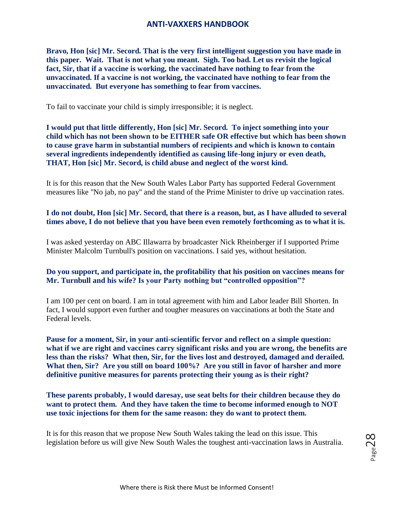**Bravo, Hon [sic] Mr. Secord. That is the very first intelligent suggestion you have made in this paper. Wait. That is not what you meant. Sigh. Too bad. Let us revisit the logical fact, Sir, that if a vaccine is working, the vaccinated have nothing to fear from the unvaccinated. If a vaccine is not working, the vaccinated have nothing to fear from the unvaccinated. But everyone has something to fear from vaccines.** 

To fail to vaccinate your child is simply irresponsible; it is neglect.

**I would put that little differently, Hon [sic] Mr. Secord. To inject something into your child which has not been shown to be EITHER safe OR effective but which has been shown to cause grave harm in substantial numbers of recipients and which is known to contain several ingredients independently identified as causing life-long injury or even death, THAT, Hon [sic] Mr. Secord, is child abuse and neglect of the worst kind.**

It is for this reason that the New South Wales Labor Party has supported Federal Government measures like "No jab, no pay" and the stand of the Prime Minister to drive up vaccination rates.

#### **I do not doubt, Hon [sic] Mr. Secord, that there is a reason, but, as I have alluded to several times above, I do not believe that you have been even remotely forthcoming as to what it is.**

I was asked yesterday on ABC Illawarra by broadcaster Nick Rheinberger if I supported Prime Minister Malcolm Turnbull's position on vaccinations. I said yes, without hesitation.

#### **Do you support, and participate in, the profitability that his position on vaccines means for Mr. Turnbull and his wife? Is your Party nothing but "controlled opposition"?**

I am 100 per cent on board. I am in total agreement with him and Labor leader Bill Shorten. In fact, I would support even further and tougher measures on vaccinations at both the State and Federal levels.

**Pause for a moment, Sir, in your anti-scientific fervor and reflect on a simple question: what if we are right and vaccines carry significant risks and you are wrong, the benefits are less than the risks? What then, Sir, for the lives lost and destroyed, damaged and derailed. What then, Sir? Are you still on board 100%? Are you still in favor of harsher and more definitive punitive measures for parents protecting their young as is their right?**

**These parents probably, I would daresay, use seat belts for their children because they do want to protect them. And they have taken the time to become informed enough to NOT use toxic injections for them for the same reason: they do want to protect them.**

It is for this reason that we propose New South Wales taking the lead on this issue. This legislation before us will give New South Wales the toughest anti-vaccination laws in Australia.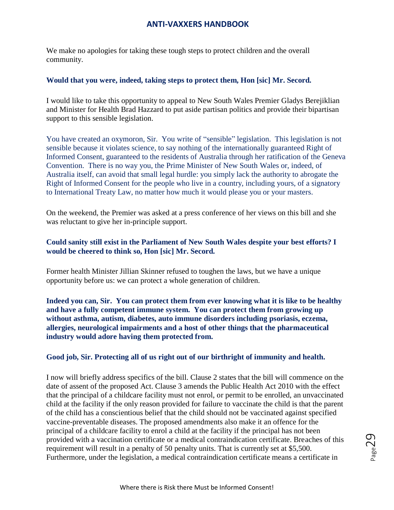We make no apologies for taking these tough steps to protect children and the overall community.

#### **Would that you were, indeed, taking steps to protect them, Hon [sic] Mr. Secord.**

I would like to take this opportunity to appeal to New South Wales Premier Gladys Berejiklian and Minister for Health Brad Hazzard to put aside partisan politics and provide their bipartisan support to this sensible legislation.

You have created an oxymoron, Sir. You write of "sensible" legislation. This legislation is not sensible because it violates science, to say nothing of the internationally guaranteed Right of Informed Consent, guaranteed to the residents of Australia through her ratification of the Geneva Convention. There is no way you, the Prime Minister of New South Wales or, indeed, of Australia itself, can avoid that small legal hurdle: you simply lack the authority to abrogate the Right of Informed Consent for the people who live in a country, including yours, of a signatory to International Treaty Law, no matter how much it would please you or your masters.

On the weekend, the Premier was asked at a press conference of her views on this bill and she was reluctant to give her in-principle support.

#### **Could sanity still exist in the Parliament of New South Wales despite your best efforts? I would be cheered to think so, Hon [sic] Mr. Secord.**

Former health Minister Jillian Skinner refused to toughen the laws, but we have a unique opportunity before us: we can protect a whole generation of children.

**Indeed you can, Sir. You can protect them from ever knowing what it is like to be healthy and have a fully competent immune system. You can protect them from growing up without asthma, autism, diabetes, auto immune disorders including psoriasis, eczema, allergies, neurological impairments and a host of other things that the pharmaceutical industry would adore having them protected from.** 

#### **Good job, Sir. Protecting all of us right out of our birthright of immunity and health.**

I now will briefly address specifics of the bill. Clause 2 states that the bill will commence on the date of assent of the proposed Act. Clause 3 amends the Public Health Act 2010 with the effect that the principal of a childcare facility must not enrol, or permit to be enrolled, an unvaccinated child at the facility if the only reason provided for failure to vaccinate the child is that the parent of the child has a conscientious belief that the child should not be vaccinated against specified vaccine-preventable diseases. The proposed amendments also make it an offence for the principal of a childcare facility to enrol a child at the facility if the principal has not been provided with a vaccination certificate or a medical contraindication certificate. Breaches of this requirement will result in a penalty of 50 penalty units. That is currently set at \$5,500. Furthermore, under the legislation, a medical contraindication certificate means a certificate in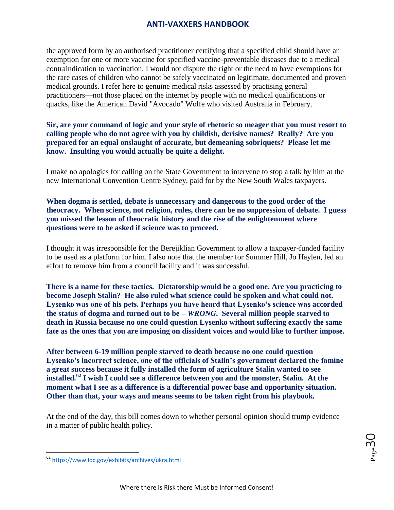the approved form by an authorised practitioner certifying that a specified child should have an exemption for one or more vaccine for specified vaccine-preventable diseases due to a medical contraindication to vaccination. I would not dispute the right or the need to have exemptions for the rare cases of children who cannot be safely vaccinated on legitimate, documented and proven medical grounds. I refer here to genuine medical risks assessed by practising general practitioners—not those placed on the internet by people with no medical qualifications or quacks, like the American David "Avocado" Wolfe who visited Australia in February.

**Sir, are your command of logic and your style of rhetoric so meager that you must resort to calling people who do not agree with you by childish, derisive names? Really? Are you prepared for an equal onslaught of accurate, but demeaning sobriquets? Please let me know. Insulting you would actually be quite a delight.** 

I make no apologies for calling on the State Government to intervene to stop a talk by him at the new International Convention Centre Sydney, paid for by the New South Wales taxpayers.

**When dogma is settled, debate is unnecessary and dangerous to the good order of the theocracy. When science, not religion, rules, there can be no suppression of debate. I guess you missed the lesson of theocratic history and the rise of the enlightenment where questions were to be asked if science was to proceed.** 

I thought it was irresponsible for the Berejiklian Government to allow a taxpayer-funded facility to be used as a platform for him. I also note that the member for Summer Hill, Jo Haylen, led an effort to remove him from a council facility and it was successful.

**There is a name for these tactics. Dictatorship would be a good one. Are you practicing to become Joseph Stalin? He also ruled what science could be spoken and what could not. Lysenko was one of his pets. Perhaps you have heard that Lysenko's science was accorded the status of dogma and turned out to be –** *WRONG***. Several million people starved to death in Russia because no one could question Lysenko without suffering exactly the same fate as the ones that you are imposing on dissident voices and would like to further impose.**

**After between 6-19 million people starved to death because no one could question Lysenko's incorrect science, one of the officials of Stalin's government declared the famine a great success because it fully installed the form of agriculture Stalin wanted to see installed.<sup>62</sup> I wish I could see a difference between you and the monster, Stalin. At the moment what I see as a difference is a differential power base and opportunity situation. Other than that, your ways and means seems to be taken right from his playbook.**

At the end of the day, this bill comes down to whether personal opinion should trump evidence in a matter of public health policy.

Page30

<sup>&</sup>lt;sup>62</sup> <https://www.loc.gov/exhibits/archives/ukra.html>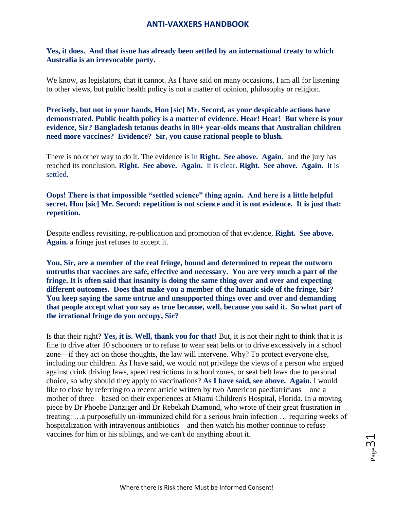#### **Yes, it does. And that issue has already been settled by an international treaty to which Australia is an irrevocable party.**

We know, as legislators, that it cannot. As I have said on many occasions, I am all for listening to other views, but public health policy is not a matter of opinion, philosophy or religion.

**Precisely, but not in your hands, Hon [sic] Mr. Secord, as your despicable actions have demonstrated. Public health policy is a matter of evidence. Hear! Hear! But where is your evidence, Sir? Bangladesh tetanus deaths in 80+ year-olds means that Australian children need more vaccines? Evidence? Sir, you cause rational people to blush.**

There is no other way to do it. The evidence is in **Right. See above. Again.** and the jury has reached its conclusion. **Right. See above. Again.** It is clear. **Right. See above. Again.** It is settled.

#### **Oops! There is that impossible "settled science" thing again. And here is a little helpful secret, Hon [sic] Mr. Secord: repetition is not science and it is not evidence. It is just that: repetition.**

Despite endless revisiting, re-publication and promotion of that evidence, **Right. See above. Again.** a fringe just refuses to accept it.

**You, Sir, are a member of the real fringe, bound and determined to repeat the outworn untruths that vaccines are safe, effective and necessary. You are very much a part of the fringe. It is often said that insanity is doing the same thing over and over and expecting different outcomes. Does that make you a member of the lunatic side of the fringe, Sir? You keep saying the same untrue and unsupported things over and over and demanding that people accept what you say as true because, well, because you said it. So what part of the irrational fringe do you occupy, Sir?**

Is that their right? **Yes, it is. Well, thank you for that!** But, it is not their right to think that it is fine to drive after 10 schooners or to refuse to wear seat belts or to drive excessively in a school zone—if they act on those thoughts, the law will intervene. Why? To protect everyone else, including our children. As I have said, we would not privilege the views of a person who argued against drink driving laws, speed restrictions in school zones, or seat belt laws due to personal choice, so why should they apply to vaccinations? **As I have said, see above. Again.** I would like to close by referring to a recent article written by two American paediatricians—one a mother of three—based on their experiences at Miami Children's Hospital, Florida. In a moving piece by Dr Phoebe Danziger and Dr Rebekah Diamond, who wrote of their great frustration in treating: …a purposefully un-immunized child for a serious brain infection … requiring weeks of hospitalization with intravenous antibiotics—and then watch his mother continue to refuse vaccines for him or his siblings, and we can't do anything about it.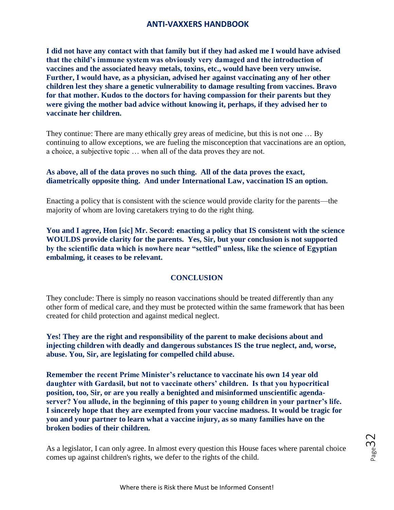**I did not have any contact with that family but if they had asked me I would have advised that the child's immune system was obviously very damaged and the introduction of vaccines and the associated heavy metals, toxins, etc., would have been very unwise. Further, I would have, as a physician, advised her against vaccinating any of her other children lest they share a genetic vulnerability to damage resulting from vaccines. Bravo for that mother. Kudos to the doctors for having compassion for their parents but they were giving the mother bad advice without knowing it, perhaps, if they advised her to vaccinate her children.** 

They continue: There are many ethically grey areas of medicine, but this is not one … By continuing to allow exceptions, we are fueling the misconception that vaccinations are an option, a choice, a subjective topic … when all of the data proves they are not.

## **As above, all of the data proves no such thing. All of the data proves the exact, diametrically opposite thing. And under International Law, vaccination IS an option.**

Enacting a policy that is consistent with the science would provide clarity for the parents—the majority of whom are loving caretakers trying to do the right thing.

**You and I agree, Hon [sic] Mr. Secord: enacting a policy that IS consistent with the science WOULDS provide clarity for the parents. Yes, Sir, but your conclusion is not supported by the scientific data which is nowhere near "settled" unless, like the science of Egyptian embalming, it ceases to be relevant.** 

## **CONCLUSION**

They conclude: There is simply no reason vaccinations should be treated differently than any other form of medical care, and they must be protected within the same framework that has been created for child protection and against medical neglect.

**Yes! They are the right and responsibility of the parent to make decisions about and injecting children with deadly and dangerous substances IS the true neglect, and, worse, abuse. You, Sir, are legislating for compelled child abuse.**

**Remember the recent Prime Minister's reluctance to vaccinate his own 14 year old daughter with Gardasil, but not to vaccinate others' children. Is that you hypocritical position, too, Sir, or are you really a benighted and misinformed unscientific agendaserver? You allude, in the beginning of this paper to young children in your partner's life. I sincerely hope that they are exempted from your vaccine madness. It would be tragic for you and your partner to learn what a vaccine injury, as so many families have on the broken bodies of their children.** 

As a legislator, I can only agree. In almost every question this House faces where parental choice comes up against children's rights, we defer to the rights of the child.